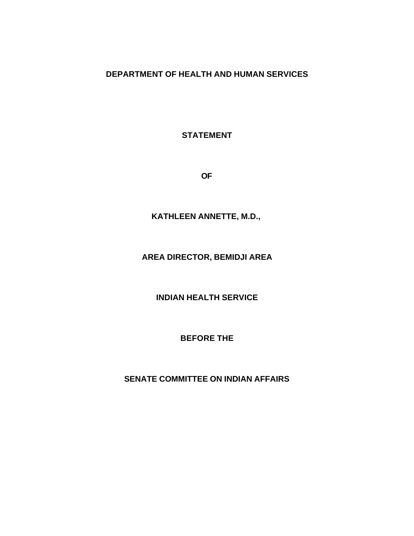## **DEPARTMENT OF HEALTH AND HUMAN SERVICES**

**STATEMENT** 

**OF** 

**KATHLEEN ANNETTE, M.D.,** 

## **AREA DIRECTOR, BEMIDJI AREA**

**INDIAN HEALTH SERVICE** 

**BEFORE THE** 

**SENATE COMMITTEE ON INDIAN AFFAIRS**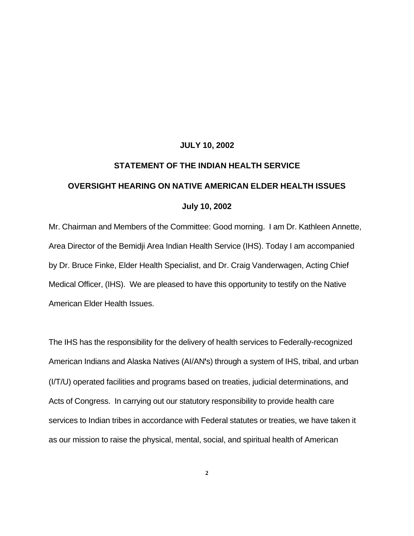## **JULY 10, 2002**

## **STATEMENT OF THE INDIAN HEALTH SERVICE OVERSIGHT HEARING ON NATIVE AMERICAN ELDER HEALTH ISSUES July 10, 2002**

Mr. Chairman and Members of the Committee: Good morning. I am Dr. Kathleen Annette, Area Director of the Bemidji Area Indian Health Service (IHS). Today I am accompanied by Dr. Bruce Finke, Elder Health Specialist, and Dr. Craig Vanderwagen, Acting Chief Medical Officer, (IHS). We are pleased to have this opportunity to testify on the Native American Elder Health Issues.

The IHS has the responsibility for the delivery of health services to Federally-recognized American Indians and Alaska Natives (AI/AN**'**s) through a system of IHS, tribal, and urban (I/T/U) operated facilities and programs based on treaties, judicial determinations, and Acts of Congress. In carrying out our statutory responsibility to provide health care services to Indian tribes in accordance with Federal statutes or treaties, we have taken it as our mission to raise the physical, mental, social, and spiritual health of American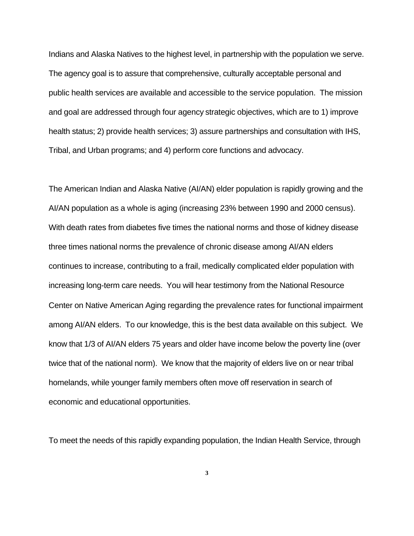Indians and Alaska Natives to the highest level, in partnership with the population we serve. The agency goal is to assure that comprehensive, culturally acceptable personal and public health services are available and accessible to the service population. The mission and goal are addressed through four agency strategic objectives, which are to 1) improve health status; 2) provide health services; 3) assure partnerships and consultation with IHS, Tribal, and Urban programs; and 4) perform core functions and advocacy.

The American Indian and Alaska Native (AI/AN) elder population is rapidly growing and the AI/AN population as a whole is aging (increasing 23% between 1990 and 2000 census). With death rates from diabetes five times the national norms and those of kidney disease three times national norms the prevalence of chronic disease among AI/AN elders continues to increase, contributing to a frail, medically complicated elder population with increasing long-term care needs. You will hear testimony from the National Resource Center on Native American Aging regarding the prevalence rates for functional impairment among AI/AN elders. To our knowledge, this is the best data available on this subject. We know that 1/3 of AI/AN elders 75 years and older have income below the poverty line (over twice that of the national norm). We know that the majority of elders live on or near tribal homelands, while younger family members often move off reservation in search of economic and educational opportunities.

To meet the needs of this rapidly expanding population, the Indian Health Service, through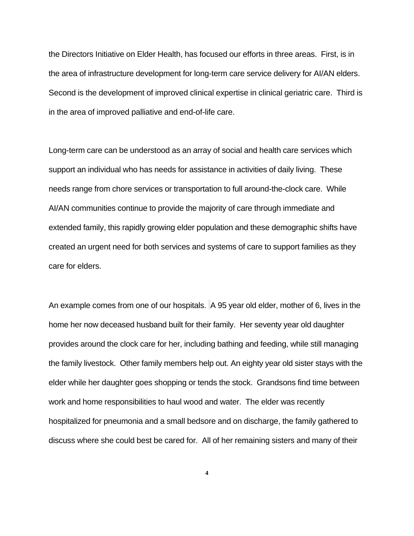the Directors Initiative on Elder Health, has focused our efforts in three areas. First, is in the area of infrastructure development for long-term care service delivery for AI/AN elders. Second is the development of improved clinical expertise in clinical geriatric care. Third is in the area of improved palliative and end-of-life care.

Long-term care can be understood as an array of social and health care services which support an individual who has needs for assistance in activities of daily living. These needs range from chore services or transportation to full around-the-clock care. While AI/AN communities continue to provide the majority of care through immediate and extended family, this rapidly growing elder population and these demographic shifts have created an urgent need for both services and systems of care to support families as they care for elders.

An example comes from one of our hospitals. A 95 year old elder, mother of 6, lives in the home her now deceased husband built for their family. Her seventy year old daughter provides around the clock care for her, including bathing and feeding, while still managing the family livestock. Other family members help out. An eighty year old sister stays with the elder while her daughter goes shopping or tends the stock. Grandsons find time between work and home responsibilities to haul wood and water. The elder was recently hospitalized for pneumonia and a small bedsore and on discharge, the family gathered to discuss where she could best be cared for. All of her remaining sisters and many of their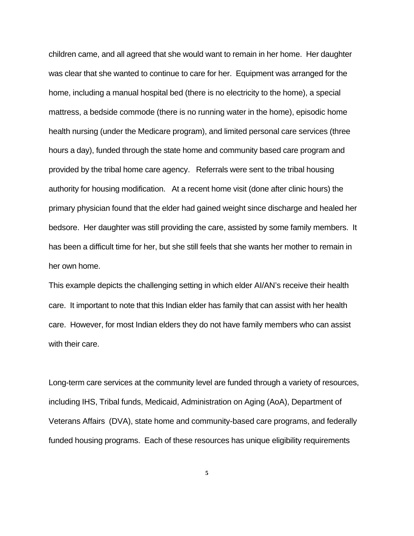children came, and all agreed that she would want to remain in her home. Her daughter was clear that she wanted to continue to care for her. Equipment was arranged for the home, including a manual hospital bed (there is no electricity to the home), a special mattress, a bedside commode (there is no running water in the home), episodic home health nursing (under the Medicare program), and limited personal care services (three hours a day), funded through the state home and community based care program and provided by the tribal home care agency. Referrals were sent to the tribal housing authority for housing modification. At a recent home visit (done after clinic hours) the primary physician found that the elder had gained weight since discharge and healed her bedsore. Her daughter was still providing the care, assisted by some family members. It has been a difficult time for her, but she still feels that she wants her mother to remain in her own home.

This example depicts the challenging setting in which elder AI/AN's receive their health care. It important to note that this Indian elder has family that can assist with her health care. However, for most Indian elders they do not have family members who can assist with their care.

Long-term care services at the community level are funded through a variety of resources, including IHS, Tribal funds, Medicaid, Administration on Aging (AoA), Department of Veterans Affairs (DVA), state home and community-based care programs, and federally funded housing programs. Each of these resources has unique eligibility requirements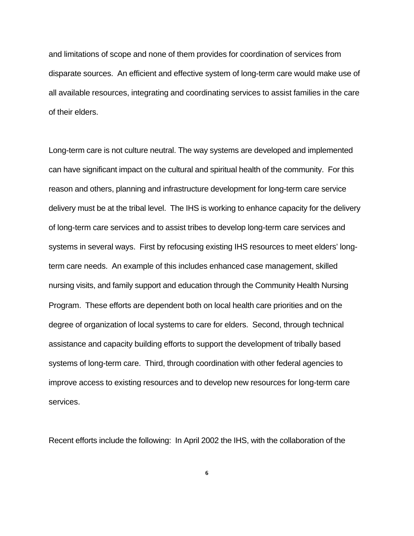and limitations of scope and none of them provides for coordination of services from disparate sources. An efficient and effective system of long-term care would make use of all available resources, integrating and coordinating services to assist families in the care of their elders.

Long-term care is not culture neutral. The way systems are developed and implemented can have significant impact on the cultural and spiritual health of the community. For this reason and others, planning and infrastructure development for long-term care service delivery must be at the tribal level. The IHS is working to enhance capacity for the delivery of long-term care services and to assist tribes to develop long-term care services and systems in several ways. First by refocusing existing IHS resources to meet elders' longterm care needs. An example of this includes enhanced case management, skilled nursing visits, and family support and education through the Community Health Nursing Program. These efforts are dependent both on local health care priorities and on the degree of organization of local systems to care for elders. Second, through technical assistance and capacity building efforts to support the development of tribally based systems of long-term care. Third, through coordination with other federal agencies to improve access to existing resources and to develop new resources for long-term care services.

Recent efforts include the following: In April 2002 the IHS, with the collaboration of the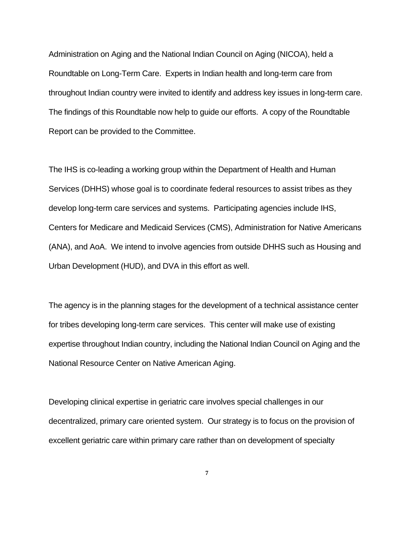Administration on Aging and the National Indian Council on Aging (NICOA), held a Roundtable on Long-Term Care. Experts in Indian health and long-term care from throughout Indian country were invited to identify and address key issues in long-term care. The findings of this Roundtable now help to guide our efforts. A copy of the Roundtable Report can be provided to the Committee.

The IHS is co-leading a working group within the Department of Health and Human Services (DHHS) whose goal is to coordinate federal resources to assist tribes as they develop long-term care services and systems. Participating agencies include IHS, Centers for Medicare and Medicaid Services (CMS), Administration for Native Americans (ANA), and AoA. We intend to involve agencies from outside DHHS such as Housing and Urban Development (HUD), and DVA in this effort as well.

The agency is in the planning stages for the development of a technical assistance center for tribes developing long-term care services. This center will make use of existing expertise throughout Indian country, including the National Indian Council on Aging and the National Resource Center on Native American Aging.

Developing clinical expertise in geriatric care involves special challenges in our decentralized, primary care oriented system. Our strategy is to focus on the provision of excellent geriatric care within primary care rather than on development of specialty